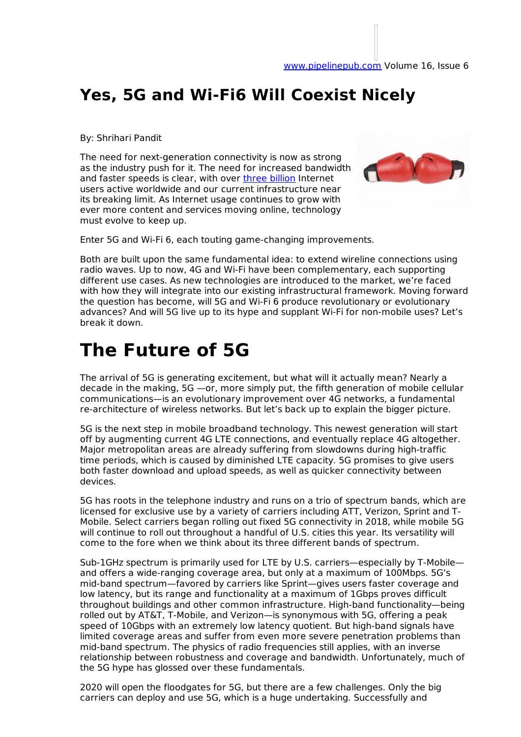## **Yes, 5G and Wi-Fi6 Will Coexist Nicely**

By: Shrihari Pandit

The need for next-generation connectivity is now as strong as the industry push for it. The need for increased bandwidth and faster speeds is clear, with over three billion Internet users active worldwide and our current infrastructure near its breaking limit. As Internet usage continues to grow with ever more content and services moving online, technology must evolve to keep up.



Enter 5G and Wi-Fi 6, each touting game-changing improvements.

Both are built upon the same fundamental idea: to extend wireline connections using radio waves. Up to now, 4G and Wi-Fi have been complementary, each supporting different use cases. As new technologies are introduced to the market, we're faced with how they will integrate into our existing infrastructural framework. Moving forward the question has become, will 5G and Wi-Fi 6 produce revolutionary or evolutionary advances? And will 5G live up to its hype and supplant Wi-Fi for non-mobile uses? Let's break it down.

## **The Future of 5G**

The arrival of 5G is generating excitement, but what will it actually mean? Nearly a decade in the making, 5G —or, more simply put, the fifth generation of mobile cellular communications—is an evolutionary improvement over 4G networks, a fundamental re-architecture of wireless networks. But let's back up to explain the bigger picture.

5G is the next step in mobile broadband technology. This newest generation will start off by augmenting current 4G LTE connections, and eventually replace 4G altogether. Major metropolitan areas are already suffering from slowdowns during high-traffic time periods, which is caused by diminished LTE capacity. 5G promises to give users both faster download and upload speeds, as well as quicker connectivity between devices.

5G has roots in the telephone industry and runs on a trio of spectrum bands, which are licensed for exclusive use by a variety of carriers including ATT, Verizon, Sprint and T-Mobile. Select carriers began rolling out fixed 5G connectivity in 2018, while mobile 5G will continue to roll out throughout a handful of U.S. cities this year. Its versatility will come to the fore when we think about its three different bands of spectrum.

Sub-1GHz spectrum is primarily used for LTE by U.S. carriers—especially by T-Mobile and offers a wide-ranging coverage area, but only at a maximum of 100Mbps. 5G's mid-band spectrum—favored by carriers like Sprint—gives users faster coverage and low latency, but its range and functionality at a maximum of 1Gbps proves difficult throughout buildings and other common infrastructure. High-band functionality—being rolled out by AT&T, T-Mobile, and Verizon—is synonymous with 5G, offering a peak speed of 10Gbps with an extremely low latency quotient. But high-band signals have limited coverage areas and suffer from even more severe penetration problems than mid-band spectrum. The physics of radio frequencies still applies, with an inverse relationship between robustness and coverage and bandwidth. Unfortunately, much of the 5G hype has glossed over these fundamentals.

2020 will open the floodgates for 5G, but there are a few challenges. Only the big carriers can deploy and use 5G, which is a huge undertaking. Successfully and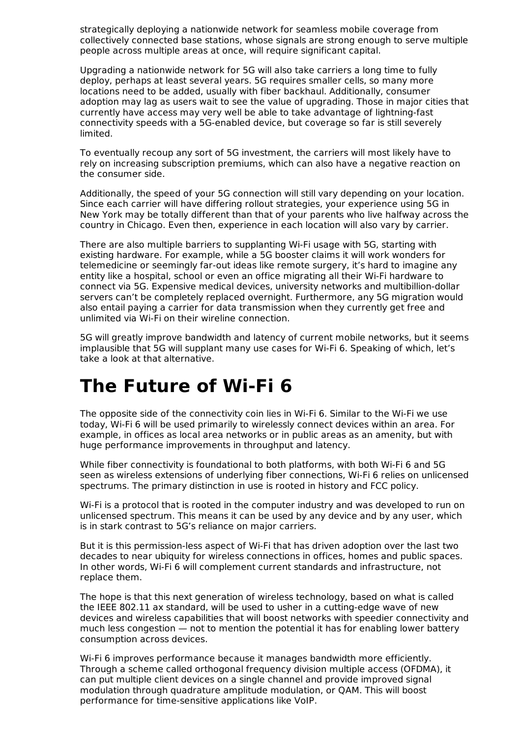strategically deploying a nationwide network for seamless mobile coverage from collectively connected base stations, whose signals are strong enough to serve multiple people across multiple areas at once, will require significant capital.

Upgrading a nationwide network for 5G will also take carriers a long time to fully deploy, perhaps at least several years. 5G requires smaller cells, so many more locations need to be added, usually with fiber backhaul. Additionally, consumer adoption may lag as users wait to see the value of upgrading. Those in major cities that currently have access may very well be able to take advantage of lightning-fast connectivity speeds with a 5G-enabled device, but coverage so far is still severely limited.

To eventually recoup any sort of 5G investment, the carriers will most likely have to rely on increasing subscription premiums, which can also have a negative reaction on the consumer side.

Additionally, the speed of your 5G connection will still vary depending on your location. Since each carrier will have differing rollout strategies, your experience using 5G in New York may be totally different than that of your parents who live halfway across the country in Chicago. Even then, experience in each location will also vary by carrier.

There are also multiple barriers to supplanting Wi-Fi usage with 5G, starting with existing hardware. For example, while a 5G booster claims it will work wonders for telemedicine or seemingly far-out ideas like remote surgery, it's hard to imagine any entity like a hospital, school or even an office migrating all their Wi-Fi hardware to connect via 5G. Expensive medical devices, university networks and multibillion-dollar servers can't be completely replaced overnight. Furthermore, any 5G migration would also entail paying a carrier for data transmission when they currently get free and unlimited via Wi-Fi on their wireline connection.

5G will greatly improve bandwidth and latency of current mobile networks, but it seems implausible that 5G will supplant many use cases for Wi-Fi 6. Speaking of which, let's take a look at that alternative.

## **The Future of Wi-Fi 6**

The opposite side of the connectivity coin lies in Wi-Fi 6. Similar to the Wi-Fi we use today, Wi-Fi 6 will be used primarily to wirelessly connect devices within an area. For example, in offices as local area networks or in public areas as an amenity, but with huge performance improvements in throughput and latency.

While fiber connectivity is foundational to both platforms, with both Wi-Fi 6 and 5G seen as wireless extensions of underlying fiber connections, Wi-Fi 6 relies on unlicensed spectrums. The primary distinction in use is rooted in history and FCC policy.

Wi-Fi is a protocol that is rooted in the computer industry and was developed to run on unlicensed spectrum. This means it can be used by any device and by any user, which is in stark contrast to 5G's reliance on major carriers.

But it is this permission-less aspect of Wi-Fi that has driven adoption over the last two decades to near ubiquity for wireless connections in offices, homes and public spaces. In other words, Wi-Fi 6 will complement current standards and infrastructure, not replace them.

The hope is that this next generation of wireless technology, based on what is called the IEEE 802.11 ax standard, will be used to usher in a cutting-edge wave of new devices and wireless capabilities that will boost networks with speedier connectivity and much less congestion — not to mention the potential it has for enabling lower battery consumption across devices.

Wi-Fi 6 improves performance because it manages bandwidth more efficiently. Through a scheme called orthogonal frequency division multiple access (OFDMA), it can put multiple client devices on a single channel and provide improved signal modulation through quadrature amplitude modulation, or QAM. This will boost performance for time-sensitive applications like VoIP.